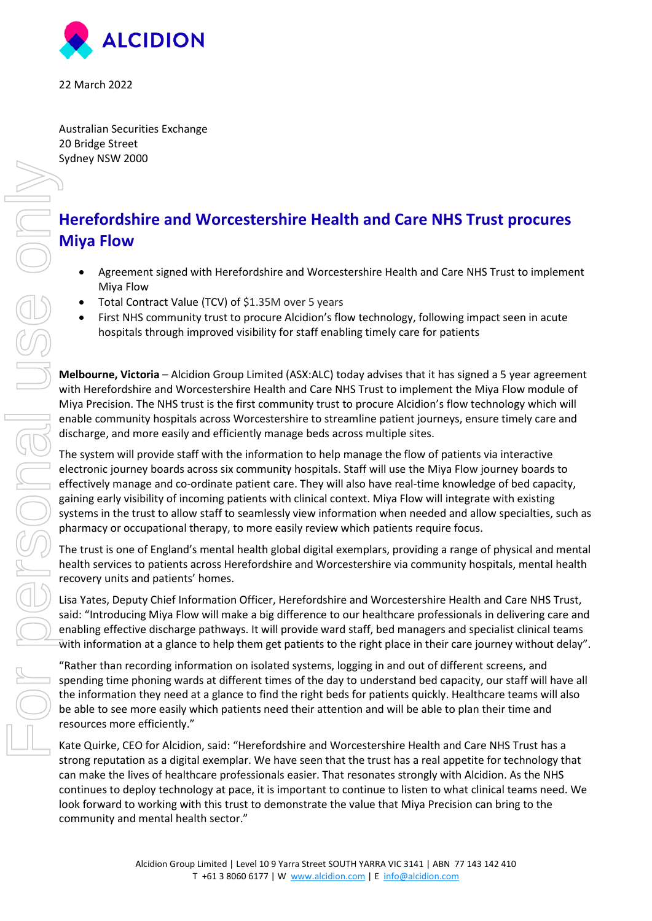

22 March 2022

Australian Securities Exchange 20 Bridge Street Sydney NSW 2000

# **Herefordshire and Worcestershire Health and Care NHS Trust procures Miya Flow**

- Agreement signed with Herefordshire and Worcestershire Health and Care NHS Trust to implement Miya Flow
- Total Contract Value (TCV) of \$1.35M over 5 years
- First NHS community trust to procure Alcidion's flow technology, following impact seen in acute hospitals through improved visibility for staff enabling timely care for patients

**Melbourne, Victoria** – Alcidion Group Limited (ASX:ALC) today advises that it has signed a 5 year agreement with Herefordshire and Worcestershire Health and Care NHS Trust to implement the Miya Flow module of Miya Precision. The NHS trust is the first community trust to procure Alcidion's flow technology which will enable community hospitals across Worcestershire to streamline patient journeys, ensure timely care and discharge, and more easily and efficiently manage beds across multiple sites.

The system will provide staff with the information to help manage the flow of patients via interactive electronic journey boards across six community hospitals. Staff will use the Miya Flow journey boards to effectively manage and co-ordinate patient care. They will also have real-time knowledge of bed capacity, gaining early visibility of incoming patients with clinical context. Miya Flow will integrate with existing systems in the trust to allow staff to seamlessly view information when needed and allow specialties, such as pharmacy or occupational therapy, to more easily review which patients require focus.

The trust is one of England's mental health global digital exemplars, providing a range of physical and mental health services to patients across Herefordshire and Worcestershire via community hospitals, mental health recovery units and patients' homes.

Lisa Yates, Deputy Chief Information Officer, Herefordshire and Worcestershire Health and Care NHS Trust, said: "Introducing Miya Flow will make a big difference to our healthcare professionals in delivering care and enabling effective discharge pathways. It will provide ward staff, bed managers and specialist clinical teams with information at a glance to help them get patients to the right place in their care journey without delay".

"Rather than recording information on isolated systems, logging in and out of different screens, and spending time phoning wards at different times of the day to understand bed capacity, our staff will have all the information they need at a glance to find the right beds for patients quickly. Healthcare teams will also be able to see more easily which patients need their attention and will be able to plan their time and resources more efficiently."

Kate Quirke, CEO for Alcidion, said: "Herefordshire and Worcestershire Health and Care NHS Trust has a strong reputation as a digital exemplar. We have seen that the trust has a real appetite for technology that can make the lives of healthcare professionals easier. That resonates strongly with Alcidion. As the NHS continues to deploy technology at pace, it is important to continue to listen to what clinical teams need. We look forward to working with this trust to demonstrate the value that Miya Precision can bring to the